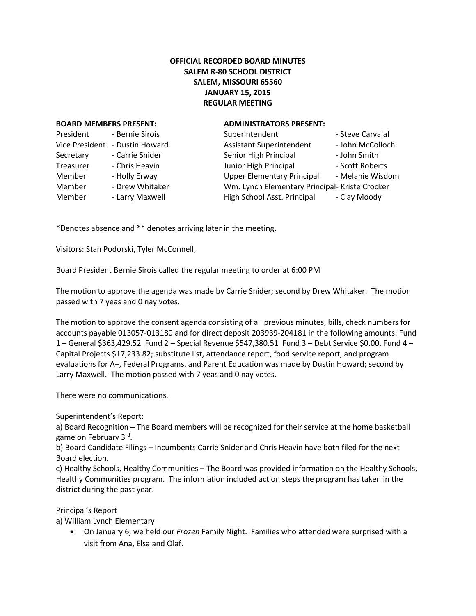## **OFFICIAL RECORDED BOARD MINUTES SALEM R-80 SCHOOL DISTRICT SALEM, MISSOURI 65560 JANUARY 15, 2015 REGULAR MEETING**

## **BOARD MEMBERS PRESENT: ADMINISTRATORS PRESENT:**

| President             | - Bernie Sirois |  |
|-----------------------|-----------------|--|
| <b>Vice President</b> | - Dustin Howard |  |
| Secretary             | - Carrie Snider |  |
| Treasurer             | - Chris Heavin  |  |
| Member                | - Holly Erway   |  |
| Member                | - Drew Whitaker |  |
| Member                | - Larry Maxwell |  |

| President      | - Bernie Sirois | Superintendent                                 | - Steve Carvajal |
|----------------|-----------------|------------------------------------------------|------------------|
| Vice President | - Dustin Howard | <b>Assistant Superintendent</b>                | - John McColloch |
| Secretary      | - Carrie Snider | Senior High Principal                          | - John Smith     |
| Treasurer      | - Chris Heavin  | Junior High Principal                          | - Scott Roberts  |
| Member         | - Holly Erway   | <b>Upper Elementary Principal</b>              | - Melanie Wisdom |
| Member         | - Drew Whitaker | Wm. Lynch Elementary Principal- Kriste Crocker |                  |
| Member         | - Larry Maxwell | High School Asst. Principal                    | - Clay Moody     |

\*Denotes absence and \*\* denotes arriving later in the meeting.

Visitors: Stan Podorski, Tyler McConnell,

Board President Bernie Sirois called the regular meeting to order at 6:00 PM

The motion to approve the agenda was made by Carrie Snider; second by Drew Whitaker. The motion passed with 7 yeas and 0 nay votes.

The motion to approve the consent agenda consisting of all previous minutes, bills, check numbers for accounts payable 013057-013180 and for direct deposit 203939-204181 in the following amounts: Fund 1 – General \$363,429.52 Fund 2 – Special Revenue \$547,380.51 Fund 3 – Debt Service \$0.00, Fund 4 – Capital Projects \$17,233.82; substitute list, attendance report, food service report, and program evaluations for A+, Federal Programs, and Parent Education was made by Dustin Howard; second by Larry Maxwell. The motion passed with 7 yeas and 0 nay votes.

There were no communications.

Superintendent's Report:

a) Board Recognition – The Board members will be recognized for their service at the home basketball game on February 3<sup>rd</sup>.

b) Board Candidate Filings – Incumbents Carrie Snider and Chris Heavin have both filed for the next Board election.

c) Healthy Schools, Healthy Communities – The Board was provided information on the Healthy Schools, Healthy Communities program. The information included action steps the program has taken in the district during the past year.

Principal's Report

a) William Lynch Elementary

 On January 6, we held our *Frozen* Family Night. Families who attended were surprised with a visit from Ana, Elsa and Olaf.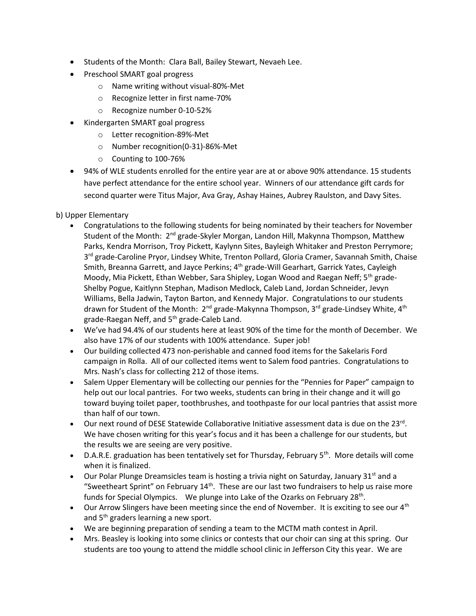- Students of the Month: Clara Ball, Bailey Stewart, Nevaeh Lee.
- Preschool SMART goal progress
	- o Name writing without visual-80%-Met
	- o Recognize letter in first name-70%
	- o Recognize number 0-10-52%
- Kindergarten SMART goal progress
	- o Letter recognition-89%-Met
	- o Number recognition(0-31)-86%-Met
	- o Counting to 100-76%
- 94% of WLE students enrolled for the entire year are at or above 90% attendance. 15 students have perfect attendance for the entire school year. Winners of our attendance gift cards for second quarter were Titus Major, Ava Gray, Ashay Haines, Aubrey Raulston, and Davy Sites.

b) Upper Elementary

- Congratulations to the following students for being nominated by their teachers for November Student of the Month: 2<sup>nd</sup> grade-Skyler Morgan, Landon Hill, Makynna Thompson, Matthew Parks, Kendra Morrison, Troy Pickett, Kaylynn Sites, Bayleigh Whitaker and Preston Perrymore; 3<sup>rd</sup> grade-Caroline Pryor, Lindsey White, Trenton Pollard, Gloria Cramer, Savannah Smith, Chaise Smith, Breanna Garrett, and Jayce Perkins; 4<sup>th</sup> grade-Will Gearhart, Garrick Yates, Cayleigh Moody, Mia Pickett, Ethan Webber, Sara Shipley, Logan Wood and Raegan Neff; 5<sup>th</sup> grade-Shelby Pogue, Kaitlynn Stephan, Madison Medlock, Caleb Land, Jordan Schneider, Jevyn Williams, Bella Jadwin, Tayton Barton, and Kennedy Major. Congratulations to our students drawn for Student of the Month:  $2^{nd}$  grade-Makynna Thompson,  $3^{rd}$  grade-Lindsey White,  $4^{th}$ grade-Raegan Neff, and 5<sup>th</sup> grade-Caleb Land.
- We've had 94.4% of our students here at least 90% of the time for the month of December. We also have 17% of our students with 100% attendance. Super job!
- Our building collected 473 non-perishable and canned food items for the Sakelaris Ford campaign in Rolla. All of our collected items went to Salem food pantries. Congratulations to Mrs. Nash's class for collecting 212 of those items.
- Salem Upper Elementary will be collecting our pennies for the "Pennies for Paper" campaign to help out our local pantries. For two weeks, students can bring in their change and it will go toward buying toilet paper, toothbrushes, and toothpaste for our local pantries that assist more than half of our town.
- $\bullet$  Our next round of DESE Statewide Collaborative Initiative assessment data is due on the 23 $^{\text{rd}}$ . We have chosen writing for this year's focus and it has been a challenge for our students, but the results we are seeing are very positive.
- $\bullet$  D.A.R.E. graduation has been tentatively set for Thursday, February 5<sup>th</sup>. More details will come when it is finalized.
- $\bullet$  Our Polar Plunge Dreamsicles team is hosting a trivia night on Saturday, January 31st and a "Sweetheart Sprint" on February  $14<sup>th</sup>$ . These are our last two fundraisers to help us raise more funds for Special Olympics. We plunge into Lake of the Ozarks on February 28<sup>th</sup>.
- $\bullet$  Our Arrow Slingers have been meeting since the end of November. It is exciting to see our 4<sup>th</sup> and 5<sup>th</sup> graders learning a new sport.
- We are beginning preparation of sending a team to the MCTM math contest in April.
- Mrs. Beasley is looking into some clinics or contests that our choir can sing at this spring. Our students are too young to attend the middle school clinic in Jefferson City this year. We are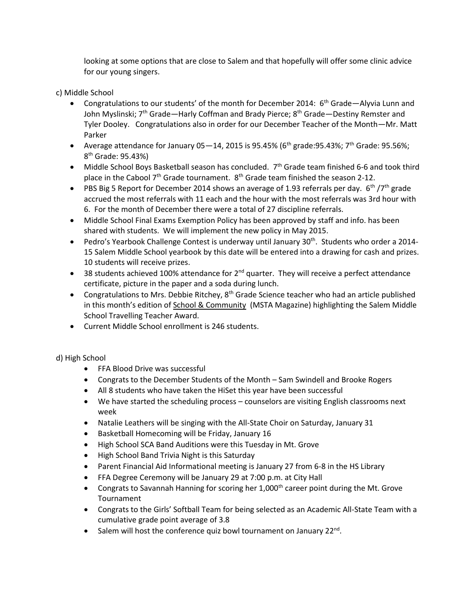looking at some options that are close to Salem and that hopefully will offer some clinic advice for our young singers.

c) Middle School

- Congratulations to our students' of the month for December 2014:  $6<sup>th</sup>$  Grade—Alyvia Lunn and John Myslinski;  $7<sup>th</sup>$  Grade—Harly Coffman and Brady Pierce;  $8<sup>th</sup>$  Grade—Destiny Remster and Tyler Dooley. Congratulations also in order for our December Teacher of the Month—Mr. Matt Parker
- Average attendance for January 05 14, 2015 is 95.45% (6<sup>th</sup> grade: 95.43%; 7<sup>th</sup> Grade: 95.56%; 8<sup>th</sup> Grade: 95.43%)
- Middle School Boys Basketball season has concluded. 7<sup>th</sup> Grade team finished 6-6 and took third place in the Cabool  $7<sup>th</sup>$  Grade tournament.  $8<sup>th</sup>$  Grade team finished the season 2-12.
- PBS Big 5 Report for December 2014 shows an average of 1.93 referrals per day.  $6^{th}/7^{th}$  grade accrued the most referrals with 11 each and the hour with the most referrals was 3rd hour with 6. For the month of December there were a total of 27 discipline referrals.
- Middle School Final Exams Exemption Policy has been approved by staff and info. has been shared with students. We will implement the new policy in May 2015.
- Pedro's Yearbook Challenge Contest is underway until January  $30<sup>th</sup>$ . Students who order a 2014-15 Salem Middle School yearbook by this date will be entered into a drawing for cash and prizes. 10 students will receive prizes.
- 38 students achieved 100% attendance for  $2^{nd}$  quarter. They will receive a perfect attendance certificate, picture in the paper and a soda during lunch.
- Congratulations to Mrs. Debbie Ritchey,  $8<sup>th</sup>$  Grade Science teacher who had an article published in this month's edition of School & Community (MSTA Magazine) highlighting the Salem Middle School Travelling Teacher Award.
- Current Middle School enrollment is 246 students.

d) High School

- FFA Blood Drive was successful
- Congrats to the December Students of the Month Sam Swindell and Brooke Rogers
- All 8 students who have taken the HiSet this year have been successful
- We have started the scheduling process counselors are visiting English classrooms next week
- Natalie Leathers will be singing with the All-State Choir on Saturday, January 31
- Basketball Homecoming will be Friday, January 16
- High School SCA Band Auditions were this Tuesday in Mt. Grove
- High School Band Trivia Night is this Saturday
- Parent Financial Aid Informational meeting is January 27 from 6-8 in the HS Library
- FFA Degree Ceremony will be January 29 at 7:00 p.m. at City Hall
- Congrats to Savannah Hanning for scoring her  $1,000<sup>th</sup>$  career point during the Mt. Grove Tournament
- Congrats to the Girls' Softball Team for being selected as an Academic All-State Team with a cumulative grade point average of 3.8
- Salem will host the conference quiz bowl tournament on January  $22^{nd}$ .